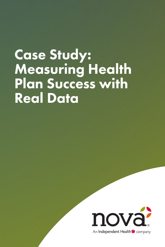# Case Study: Measuring Health Plan Success with Real Data

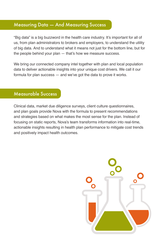# Measuring Data — And Measuring Success

"Big data" is a big buzzword in the health care industry. It's important for all of us, from plan administrators to brokers and employers, to understand the utility of big data. And to understand what it means not just for the bottom line, but for the people behind your plan — that's how we measure success.

We bring our connected company intel together with plan and local population data to deliver actionable insights into your unique cost drivers. We call it our formula for plan success — and we've got the data to prove it works.

#### Measurable Success

Clinical data, market due diligence surveys, client culture questionnaires, and plan goals provide Nova with the formula to present recommendations and strategies based on what makes the most sense for the plan. Instead of focusing on static reports, Nova's team transforms information into real-time, actionable insights resulting in health plan performance to mitigate cost trends and positively impact health outcomes.

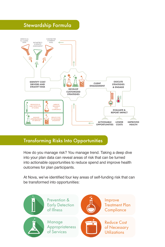

### Transforming Risks Into Opportunities

How do you manage risk? You manage trend. Taking a deep dive into your plan data can reveal areas of risk that can be turned into actionable opportunities to reduce spend and improve health outcomes for plan participants.

At Nova, we've identified four key areas of self-funding risk that can be transformed into opportunities:

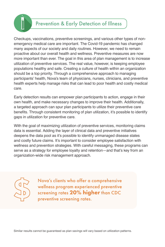# Prevention & Early Detection of Illness

Checkups, vaccinations, preventive screenings, and various other types of nonemergency medical care are important. The Covid-19 pandemic has changed many aspects of our society and daily routines. However, we need to remain proactive about our overall health and wellness. Preventive measures are now more important than ever. The goal in this area of plan management is to increase utilization of preventive services. The real value, however, is keeping employee populations healthy and safe. Creating a culture of health within an organization should be a top priority. Through a comprehensive approach to managing participants' health, Nova's team of physicians, nurses, clinicians, and preventive health experts help manage risks that can lead to poor health and costly medical care.

Early detection results can empower plan participants to action, engage in their own health, and make necessary changes to improve their health. Additionally, a targeted approach can spur plan participants to utilize their preventive care benefits. Through consistent monitoring of plan utilization, it's possible to identify gaps in utilization for preventive care.

With the goal of maximizing utilization of preventive services, monitoring claims data is essential. Adding the layer of clinical data and preventive initiatives deepens the data pool as it's possible to identify unmanaged disease states and costly future claims. It's important to consider employee satisfaction with wellness and prevention strategies. With careful messaging, these programs can serve as a strategy for employee loyalty and retention—and that's key from an organization-wide risk management approach.



**SPARE** 

Nova's clients who offer a comprehensive wellness program experienced preventive screening rates 20% higher than CDC preventive screening rates.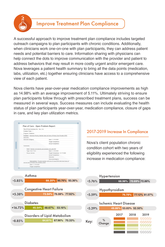

# Improve Treatment Plan Compliance

A successful approach to improve treatment plan compliance includes targeted outreach campaigns to plan participants with chronic conditions. Additionally, when clinicians work one-on-one with plan participants, they can address patient needs and potential barriers to care. Information sharing with physicians can help connect the dots to improve communication with the provider and patient to address behaviors that may result in more costly urgent and/or emergent care. Nova leverages a patient health summary to bring all the data points (medication, labs, utilization, etc.) together ensuring clinicians have access to a comprehensive view of each patient.

Nova clients have year-over-year medication compliance improvements as high as 14.98% with an average improvement of 5.11%. Ultimately striving to ensure plan participants follow through with prescribed treatment plans, success can be measured in several ways. Success measures can include evaluating the health status of plan participants year-over-year, medication compliance, closure of gaps in care, and key plan utilization metrics.

| Plan Of Care Summary for: Man. Iron                     |                                                                                  |
|---------------------------------------------------------|----------------------------------------------------------------------------------|
| Problem Total: 1                                        |                                                                                  |
| Program: Diabetes                                       |                                                                                  |
|                                                         | Problem1: Attention Priority: Member does not have a Primary Care Provider (PCP) |
| Outcome:                                                |                                                                                  |
| Outcome Category:                                       | Start: 11/18/2020                                                                |
|                                                         | <b>Target Completion:</b>                                                        |
|                                                         | <b>Actual Completion:</b>                                                        |
| Comments:                                               |                                                                                  |
| Goal1: Member will identify and schedule visit with PCP |                                                                                  |
| Type: Short Term                                        | Start: 11/18/2020                                                                |
| Focus: Member                                           | Target Completion: 12/17/2020                                                    |
|                                                         | Actual Completion:                                                               |
|                                                         | Outcome:                                                                         |
|                                                         | OutcomeCategory:                                                                 |
| service that correlate with member sched                | Intervention1: Provide member with list of 5 local PCPs that have hours of       |
| Start: 11/18/2020                                       |                                                                                  |

#### 2017-2019 Increase In Compliance

Nova's client population chronic condition cohort with two years of eligibility experienced the following increase in medication compliance:



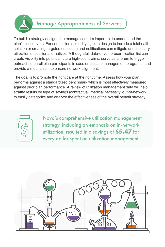

# Manage Appropriateness of Services

To build a strategy designed to manage cost, it's important to understand the plan's cost drivers. For some clients, modifying plan design to include a telehealth solution or creating targeted education and notifications can mitigate unnecessary utilization of costlier alternatives. A thoughtful, data-driven precertification list can create visibility into potential future high-cost claims, serve as a forum to trigger outreach to enroll plan participants in case or disease management programs, and provide a mechanism to ensure network alignment.

The goal is to promote the right care at the right time. Assess how your plan performs against a standardized benchmark which is most effectively measured against prior plan performance. A review of utilization management data will help stratify results by type of savings (contractual, medical necessity, out-of-network) to easily categorize and analyze the effectiveness of the overall benefit strategy.



Nova's comprehensive utilization management strategy, including an emphasis on in-network utilization, resulted in a savings of **\$5.47** for every dollar spent on utilization management.

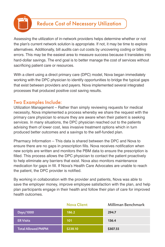

Assessing the utilization of in-network providers helps determine whether or not the plan's current network solution is appropriate. If not, it may be time to explore alternatives. Additionally, bill audits can cut costs by uncovering coding or billing errors. This may be the easiest area to measure success because it translates into hard-dollar savings. The end goal is to better manage the cost of services without sacrificing patient care or resources.

With a client using a direct primary care (DPC) model, Nova began immediately working with the DPC physician to identify opportunities to bridge the typical gaps that exist between providers and payers. Nova implemented several integrated processes that produced positive cost saving results.

### Two Examples Include:

Utilization Management – Rather than simply reviewing requests for medical necessity, Nova implemented a process whereby we share the request with the primary care physician to ensure they are aware when their patient is seeking services. In many situations, the DPC physician reached out to the patients advising them of lower cost, less invasive treatment options which in turn produced better outcomes and a savings to the self-funded plan.

Pharmacy Information – This data is shared between the DPC and Nova to ensure there are no gaps in prescription fills. Nova receives notification when new scripts are written and monitors the PBM data to ensure the prescription is filled. This process allows the DPC physician to contact the patient proactively to help eliminate any barriers that exist. Nova also monitors maintenance medication for gaps in fill. If Nova's Health Care Advocates are unable to reach the patient, the DPC provider is notified.

By working in collaboration with the provider and patients, Nova was able to save the employer money, improve employee satisfaction with the plan, and help plan participants engage in their health and follow their plan of care for improved health outcomes.

|                           | <b>Nova Client</b> | <b>Milliman Benchmark</b> |
|---------------------------|--------------------|---------------------------|
| Days/1000                 | 186.2              | 294.7                     |
| <b>ER Visits</b>          | 101                | 136.4                     |
| <b>Total Allowed PMPM</b> | \$238.10           | \$307.55                  |